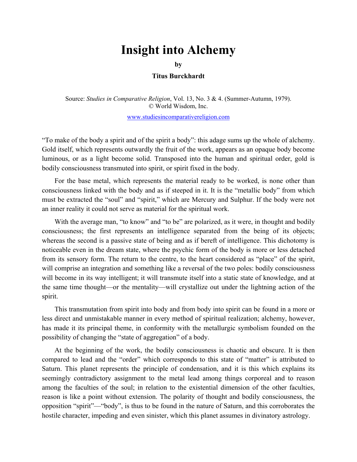## **Insight into Alchemy**

 $\mathbf{by}$ 

## **by Titus Burckhardt**

Source: *Studies in Comparative Religion*, Vol. 13, No. 3 & 4. (Summer-Autumn, 1979). © World Wisdom, Inc.

www.studiesincomparativereligion.com

"To make of the body a spirit and of the spirit a body": this adage sums up the whole of alchemy. Gold itself, which represents outwardly the fruit of the work, appears as an opaque body become luminous, or as a light become solid. Transposed into the human and spiritual order, gold is bodily consciousness transmuted into spirit, or spirit fixed in the body.

For the base metal, which represents the material ready to be worked, is none other than consciousness linked with the body and as if steeped in it. It is the "metallic body" from which must be extracted the "soul" and "spirit," which are Mercury and Sulphur. If the body were not an inner reality it could not serve as material for the spiritual work.

With the average man, "to know" and "to be" are polarized, as it were, in thought and bodily consciousness; the first represents an intelligence separated from the being of its objects; whereas the second is a passive state of being and as if bereft of intelligence. This dichotomy is noticeable even in the dream state, where the psychic form of the body is more or less detached from its sensory form. The return to the centre, to the heart considered as "place" of the spirit, will comprise an integration and something like a reversal of the two poles: bodily consciousness will become in its way intelligent; it will transmute itself into a static state of knowledge, and at the same time thought—or the mentality—will crystallize out under the lightning action of the spirit.

This transmutation from spirit into body and from body into spirit can be found in a more or less direct and unmistakable manner in every method of spiritual realization; alchemy, however, has made it its principal theme, in conformity with the metallurgic symbolism founded on the possibility of changing the "state of aggregation" of a body.

At the beginning of the work, the bodily consciousness is chaotic and obscure. It is then compared to lead and the "order" which corresponds to this state of "matter" is attributed to Saturn. This planet represents the principle of condensation, and it is this which explains its seemingly contradictory assignment to the metal lead among things corporeal and to reason among the faculties of the soul; in relation to the existential dimension of the other faculties, reason is like a point without extension. The polarity of thought and bodily consciousness, the opposition "spirit"—"body", is thus to be found in the nature of Saturn, and this corroborates the hostile character, impeding and even sinister, which this planet assumes in divinatory astrology.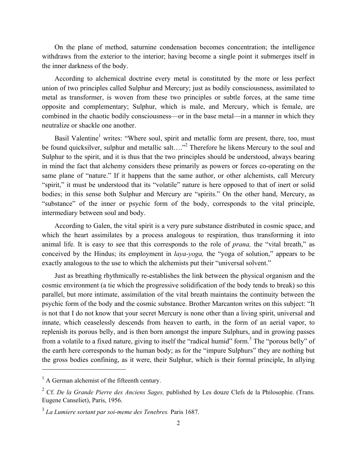withdraws from the exterior to the interior; having become a single point it submerges itself in the inner darkness of the body.

According to alchemical doctrine every metal is constituted by the more or less perfect union of two principles called Sulphur and Mercury; just as bodily consciousness, assimilated to metal as transformer, is woven from these two principles or subtle forces, at the same time opposite and complementary; Sulphur, which is male, and Mercury, which is female, are combined in the chaotic bodily consciousness—or in the base metal—in a manner in which they neutralize or shackle one another.

Basil Valentine<sup>1</sup> writes: "Where soul, spirit and metallic form are present, there, too, must be found quicksilver, sulphur and metallic salt...."<sup>2</sup> Therefore he likens Mercury to the soul and Sulphur to the spirit, and it is thus that the two principles should be understood, always bearing in mind the fact that alchemy considers these primarily as powers or forces co-operating on the same plane of "nature." If it happens that the same author, or other alchemists, call Mercury "spirit," it must be understood that its "volatile" nature is here opposed to that of inert or solid bodies; in this sense both Sulphur and Mercury are "spirits." On the other hand, Mercury, as "substance" of the inner or psychic form of the body, corresponds to the vital principle, intermediary between soul and body.

According to Galen, the vital spirit is a very pure substance distributed in cosmic space, and which the heart assimilates by a process analogous to respiration, thus transforming it into animal life. It is easy to see that this corresponds to the role of *prana,*  the "vital breath," as conceived by the Hindus; its employment in *laya-yoga*, the "yoga of solution," appears to be exactly analogous to the use to which the alchemists put their "universal solvent."

On the plane of method, saturnine or education becomes concentration; the intelligence of method, saturnine of two principles called Sulphur and Mercury, just as bothly consciousness, assimilated to the energy method, acc Just as breathing rhythmically re-establishes the link between the physical organism and the cosmic environment (a tie which the progressive solidification of the body tends to break) so this parallel, but more intimate, assimilation of the vital breath maintains the continuity between the psychic form of the body and the cosmic substance. Brother Marcanton writes on this subject: "It is not that I do not know that your secret Mercury is none other than a living spirit, universal and innate, which ceaselessly descends from heaven to earth, in the form of an aerial vapor, to replenish its porous belly, and is then born amongst the impure Sulphurs, and in growing passes from a volatile to a fixed nature, giving to itself the "radical humid" form.<sup>3</sup> The "porous belly" of the earth here corresponds to the human body; as for the "impure Sulphurs" they are nothing but the gross bodies confining, as it were, their Sulphur, which is their formal principle, In allying

<sup>&</sup>lt;sup>1</sup> A German alchemist of the fifteenth century.

<sup>2</sup> Cf. *De la Grande Pierre des Anciens Sages,* published by Les douze Clefs de la Philosophie. (Trans. Eugene Canseliet), Paris, 1956.

<sup>3</sup>*La Lumiere sortant par soimeme des Tenebres.* Paris 1687.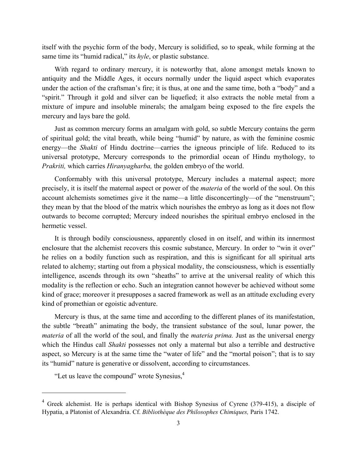itself with the psychic form of the body, Mercury is solidified, so to speak, while forming at the same time its "humid radical," its *hyle*, or plastic substance.

With regard to ordinary mercury, it is noteworthy that, alone amongst metals known to antiquity and the Middle Ages, it occurs normally under the liquid aspect which evaporates under the action of the craftsman's fire; it is thus, at one and the same time, both a "body" and a "spirit." Through it gold and silver can be liquefied; it also extracts the noble metal from a mixture of impure and insoluble minerals; the amalgam being exposed to the fire expels the mercury and lays bare the gold.

Just as common mercury forms an amalgam with gold, so subtle Mercury contains the germ of spiritual gold; the vital breath, while being "humid" by nature, as with the feminine cosmic energy—the *Shakti* of Hindu doctrine—carries the igneous principle of life. Reduced to its universal prototype, Mercury corresponds to the primordial ocean of Hindu mythology, to *Prakriti,* which carries *Hiranyagharba,* the golden embryo of the world.

Conformably with this universal prototype, Mercury includes a maternal aspect; more precisely, it is itself the maternal aspect or power of the *materia* of the world of the soul. On this account alchemists sometimes give it the name—a little disconcertingly—of the "menstruum"; they mean by that the blood of the matrix which nourishes the embryo as long as it does not flow outwards to become corrupted; Mercury indeed nourishes the spiritual embryo enclosed in the hermetic vessel.

It is through bodily consciousness, apparently closed in on itself, and within its innermost enclosure that the alchemist recovers this cosmic substance, Mercury. In order to "win it over" he relies on a bodily function such as respiration, and this is significant for all spiritual arts related to alchemy; starting out from a physical modality, the consciousness, which is essentially intelligence, ascends through its own "sheaths" to arrive at the universal reality of which this modality is the reflection or echo. Such an integration cannot however be achieved without some kind of grace; moreover it presupposes a sacred framework as well as an attitude excluding every kind of promethian or egoistic adventure.

Mercury is thus, at the same time and according to the different planes of its manifestation, the subtle "breath" animating the body, the transient substance of the soul, lunar power, the *materia* of all the world of the soul, and finally the *materia prima*. Just as the universal energy which the Hindus call *Shakti* possesses not only a maternal but also a terrible and destructive aspect, so Mercury is at the same time the "water of life" and the "mortal poison"; that is to say its "humid" nature is generative or dissolvent, according to circumstances.

"Let us leave the compound" wrote Synesius,<sup>4</sup>

<sup>&</sup>lt;sup>4</sup> Greek alchemist. He is perhaps identical with Bishop Synesius of Cyrene (379-415), a disciple of Hypatia, a Platonist of Alexandria. Cf. *Bibliothèque des Philosophes Chimiques,* Paris 1742.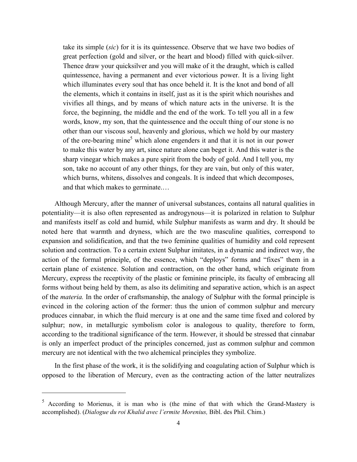great perfection (gold and silver, or the heart and blood) filled with quick-silver. Thence draw your quicksilver and you will make of it the draught, which is called quintessence, having a permanent and ever victorious power. It is a living light which illuminates every soul that has once beheld it. It is the knot and bond of all the elements, which it contains in itself, just as it is the spirit which nourishes and vivifies all things, and by means of which nature acts in the universe. It is the force, the beginning, the middle and the end of the work. To tell you all in a few words, know, my son, that the quintessence and the occult thing of our stone is no other than our viscous soul, heavenly and glorious, which we hold by our mastery of the ore-bearing mine<sup>5</sup> which alone engenders it and that it is not in our power to make this water by any art, since nature alone can beget it. And this water is the sharp vinegar which makes a pure spirit from the body of gold. And I tell you, my son, take no account of any other things, for they are vain, but only of this water, which burns, whitens, dissolves and congeals. It is indeed that which decomposes, and that which makes to germinate.…

take its simple (*sic*) for its its simplescence. Observe that we have have have the product of the composite great perfection (gold and silver, or the heart and blood) filled with quick-silver. Thence draw your quicksilve Although Mercury, after the manner of universal substances, contains all natural qualities in potentiality—it is also often represented as androgynous—it is polarized in relation to Sulphur and manifests itself as cold and humid, while Sulphur manifests as warm and dry. It should be noted here that warmth and dryness, which are the two masculine qualities, correspond to expansion and solidification, and that the two feminine qualities of humidity and cold represent solution and contraction. To a certain extent Sulphur imitates, in a dynamic and indirect way, the action of the formal principle, of the essence, which "deploys" forms and "fixes" them in a certain plane of existence. Solution and contraction, on the other hand, which originate from Mercury, express the receptivity of the plastic or feminine principle, its faculty of embracing all forms without being held by them, as also its delimiting and separative action, which is an aspect of the *materia.* In the order of craftsmanship, the analogy of Sulphur with the formal principle is evinced in the coloring action of the former: thus the union of common sulphur and mercury produces cinnabar, in which the fluid mercury is at one and the same time fixed and colored by sulphur; now, in metallurgic symbolism color is analogous to quality, therefore to form, according to the traditional significance of the term. However, it should be stressed that cinnabar is only an imperfect product of the principles concerned, just as common sulphur and common mercury are not identical with the two alchemical principles they symbolize.

In the first phase of the work, it is the solidifying and coagulating action of Sulphur which is opposed to the liberation of Mercury, even as the contracting action of the latter neutralizes

 $5$  According to Morienus, it is man who is (the mine of that with which the Grand-Mastery is accomplished). (*Dialogue du roi Khalid avec l'ermite Morenius,* Bibl. des Phil. Chim.)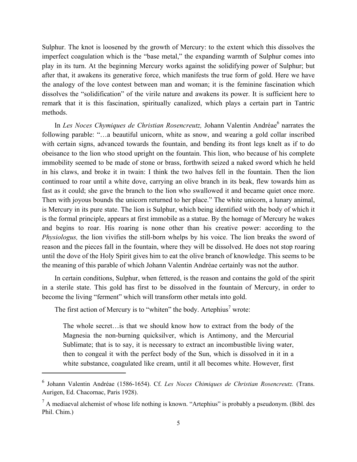imperfect coagulation which is the "base metal," the expanding warmth of Sulphur comes into play in its turn. At the beginning Mercury works against the solidifying power of Sulphur; but after that, it awakens its generative force, which manifests the true form of gold. Here we have the analogy of the love contest between man and woman; it is the feminine fascination which dissolves the "solidification" of the virile nature and awakens its power. It is sufficient here to remark that it is this fascination, spiritually canalized, which plays a certain part in Tantric methods.

Subpur. The knot is loosened by the growth of Mercury: to the extent which this dissolves the hydrogrem. The knot is the growth of Mercury works against the soliditying power of Sulphur, but the instant which is the "base In Les Noces Chymiques de Christian Rosencreutz, Johann Valentin Andréae<sup>6</sup> narrates the following parable: "...a beautiful unicorn, white as snow, and wearing a gold collar inscribed with certain signs, advanced towards the fountain, and bending its front legs knelt as if to do obeisance to the lion who stood upright on the fountain. This lion, who because of his complete immobility seemed to be made of stone or brass, forthwith seized a naked sword which he held in his claws, and broke it in twain: I think the two halves fell in the fountain. Then the lion continued to roar until a white dove, carrying an olive branch in its beak, flew towards him as fast as it could; she gave the branch to the lion who swallowed it and became quiet once more. Then with joyous bounds the unicorn returned to her place." The white unicorn, a lunary animal, is Mercury in its pure state. The lion is Sulphur, which being identified with the body of which it is the formal principle, appears at first immobile as a statue. By the homage of Mercury he wakes and begins to roar. His roaring is none other than his creative power: according to the *Physiologus,* the lion vivifies the still-born whelps by his voice. The lion breaks the sword of reason and the pieces fall in the fountain, where they will be dissolved. He does not stop roaring until the dove of the Holy Spirit gives him to eat the olive branch of knowledge. This seems to be the meaning of this parable of which Johann Valentin Andréae certainly was not the author.

In certain conditions, Sulphur, when fettered, is the reason and contains the gold of the spirit in a sterile state. This gold has first to be dissolved in the fountain of Mercury, in order to become the living "ferment" which will transform other metals into gold.

The first action of Mercury is to "whiten" the body. Artephius<sup>7</sup> wrote:

The whole secret…is that we should know how to extract from the body of the Magnesia the non-burning quicksilver, which is Antimony, and the Mercurial Sublimate; that is to say, it is necessary to extract an incombustible living water, then to congeal it with the perfect body of the Sun, which is dissolved in it in a white substance, coagulated like cream, until it all becomes white. However, first

<sup>&</sup>lt;sup>6</sup> Johann Valentin Andréae (1586-1654). Cf. Les Noces Chimiques de Christian Rosencreutz. (Trans. Aurigen, Ed. Chacornac, Paris 1928).

 $<sup>7</sup>$  A mediaeval alchemist of whose life nothing is known. "Artephius" is probably a pseudonym. (Bibl. des</sup> Phil. Chim.)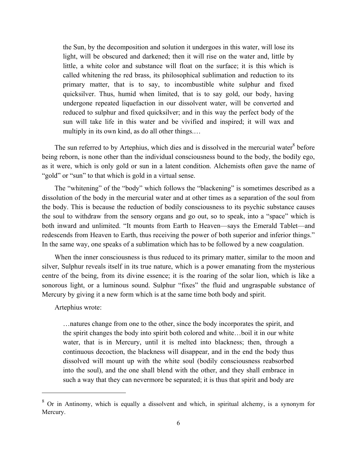the Sun, by the decomposition and eduction it undergoes in this water, will lose its in the sundergoes in the sundergoes in this water, will foce if its which is called whiteting the red brass, its plictospheral ashimatio light, will be obscured and darkened; then it will rise on the water and, little by little, a white color and substance will float on the surface; it is this which is called whitening the red brass, its philosophical sublimation and reduction to its primary matter, that is to say, to incombustible white sulphur and fixed quicksilver. Thus, humid when limited, that is to say gold, our body, having undergone repeated liquefaction in our dissolvent water, will be converted and reduced to sulphur and fixed quicksilver; and in this way the perfect body of the sun will take life in this water and be vivified and inspired; it will wax and multiply in its own kind, as do all other things.…

The sun referred to by Artephius, which dies and is dissolved in the mercurial water $8$  before being reborn, is none other than the individual consciousness bound to the body, the bodily ego, as it were, which is only gold or sun in a latent condition. Alchemists often gave the name of "gold" or "sun" to that which is gold in a virtual sense.

The "whitening" of the "body" which follows the "blackening" is sometimes described as a dissolution of the body in the mercurial water and at other times as a separation of the soul from the body. This is because the reduction of bodily consciousness to its psychic substance causes the soul to withdraw from the sensory organs and go out, so to speak, into a "space" which is both inward and unlimited. "It mounts from Earth to Heaven—says the Emerald Tablet—and redescends from Heaven to Earth, thus receiving the power of both superior and inferior things." In the same way, one speaks of a sublimation which has to be followed by a new coagulation.

When the inner consciousness is thus reduced to its primary matter, similar to the moon and silver, Sulphur reveals itself in its true nature, which is a power emanating from the mysterious centre of the being, from its divine essence; it is the roaring of the solar lion, which is like a sonorous light, or a luminous sound. Sulphur "fixes" the fluid and ungraspable substance of Mercury by giving it a new form which is at the same time both body and spirit.

Artephius wrote:

…natures change from one to the other, since the body incorporates the spirit, and the spirit changes the body into spirit both colored and white…boil it in our white water, that is in Mercury, until it is melted into blackness; then, through a continuous decoction, the blackness will disappear, and in the end the body thus dissolved will mount up with the white soul (bodily consciousness reabsorbed into the soul), and the one shall blend with the other, and they shall embrace in such a way that they can nevermore be separated; it is thus that spirit and body are

 $8$  Or in Antinomy, which is equally a dissolvent and which, in spiritual alchemy, is a synonym for Mercury.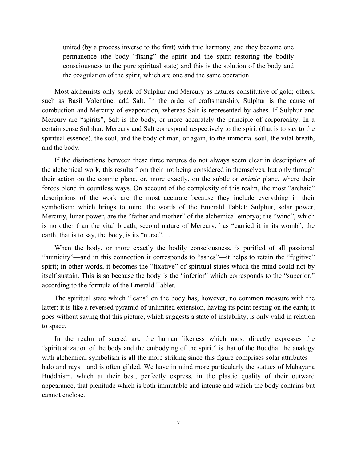united (by a process inverse to the first) with true harmony, and they become one permanence (the body "fixing" the spirit and the spirit restoring the bodily consciousness to the pure spiritual state) and this is the solution of the body and the coagulation of the spirit, which are one and the same operation.

Most alchemists only speak of Sulphur and Mercury as natures constitutive of gold; others, such as Basil Valentine, add Salt. In the order of craftsmanship, Sulphur is the cause of combustion and Mercury of evaporation, whereas Salt is represented by ashes. If Sulphur and Mercury are "spirits", Salt is the body, or more accurately the principle of corporeality. In a certain sense Sulphur, Mercury and Salt correspond respectively to the spirit (that is to say to the spiritual essence), the soul, and the body of man, or again, to the immortal soul, the vital breath, and the body.

If the distinctions between these three natures do not always seem clear in descriptions of the alchemical work, this results from their not being considered in themselves, but only through their action on the cosmic plane, or, more exactly, on the subtle or *animic*  plane, where their forces blend in countless ways. On account of the complexity of this realm, the most "archaic" descriptions of the work are the most accurate because they include everything in their symbolism; which brings to mind the words of the Emerald Tablet: Sulphur, solar power, Mercury, lunar power, are the "father and mother" of the alchemical embryo; the "wind", which is no other than the vital breath, second nature of Mercury, has "carried it in its womb"; the earth, that is to say, the body, is its "nurse".…

When the body, or more exactly the bodily consciousness, is purified of all passional "humidity"—and in this connection it corresponds to "ashes"—it helps to retain the "fugitive" spirit; in other words, it becomes the "fixative" of spiritual states which the mind could not by itself sustain. This is so because the body is the "inferior" which corresponds to the "superior," according to the formula of the Emerald Tablet.

The spiritual state which "leans" on the body has, however, no common measure with the latter; it is like a reversed pyramid of unlimited extension, having its point resting on the earth; it goes without saying that this picture, which suggests a state of instability, is only valid in relation to space.

In the realm of sacred art, the human likeness which most directly expresses the "spiritualization of the body and the embodying of the spirit" is that of the Buddha: the analogy with alchemical symbolism is all the more striking since this figure comprises solar attributes halo and rays—and is often gilded. We have in mind more particularly the statues of Mahayana Buddhism, which at their best, perfectly express, in the plastic quality of their outward appearance, that plenitude which is both immutable and intense and which the body contains but cannot enclose.